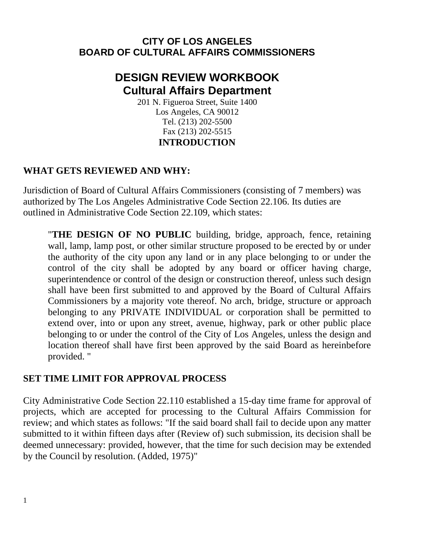# **CITY OF LOS ANGELES BOARD OF CULTURAL AFFAIRS COMMISSIONERS**

# **DESIGN REVIEW WORKBOOK Cultural Affairs Department**

201 N. Figueroa Street, Suite 1400 Los Angeles, CA 90012 Tel. (213) 202-5500 Fax (213) 202-5515 **INTRODUCTION**

# **WHAT GETS REVIEWED AND WHY:**

Jurisdiction of Board of Cultural Affairs Commissioners (consisting of 7 members) was authorized by The Los Angeles Administrative Code Section 22.106. Its duties are outlined in Administrative Code Section 22.109, which states:

"**THE DESIGN OF NO PUBLIC** building, bridge, approach, fence, retaining wall, lamp, lamp post, or other similar structure proposed to be erected by or under the authority of the city upon any land or in any place belonging to or under the control of the city shall be adopted by any board or officer having charge, superintendence or control of the design or construction thereof, unless such design shall have been first submitted to and approved by the Board of Cultural Affairs Commissioners by a majority vote thereof. No arch, bridge, structure or approach belonging to any PRIVATE INDIVIDUAL or corporation shall be permitted to extend over, into or upon any street, avenue, highway, park or other public place belonging to or under the control of the City of Los Angeles, unless the design and location thereof shall have first been approved by the said Board as hereinbefore provided. "

# **SET TIME LIMIT FOR APPROVAL PROCESS**

City Administrative Code Section 22.110 established a 15-day time frame for approval of projects, which are accepted for processing to the Cultural Affairs Commission for review; and which states as follows: "If the said board shall fail to decide upon any matter submitted to it within fifteen days after (Review of) such submission, its decision shall be deemed unnecessary: provided, however, that the time for such decision may be extended by the Council by resolution. (Added, 1975)"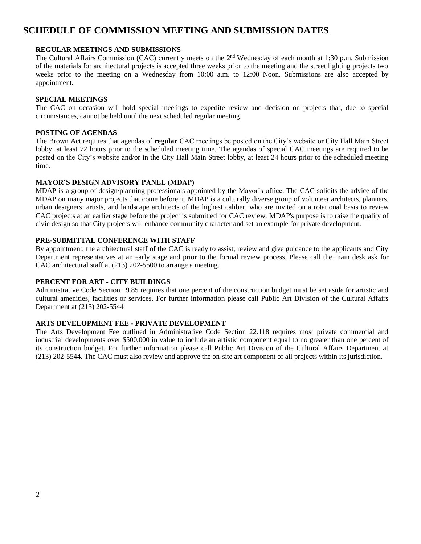## **SCHEDULE OF COMMISSION MEETING AND SUBMISSION DATES**

#### **REGULAR MEETINGS AND SUBMISSIONS**

The Cultural Affairs Commission (CAC) currently meets on the 2<sup>nd</sup> Wednesday of each month at 1:30 p.m. Submission of the materials for architectural projects is accepted three weeks prior to the meeting and the street lighting projects two weeks prior to the meeting on a Wednesday from 10:00 a.m. to 12:00 Noon. Submissions are also accepted by appointment.

#### **SPECIAL MEETINGS**

The CAC on occasion will hold special meetings to expedite review and decision on projects that, due to special circumstances, cannot be held until the next scheduled regular meeting.

#### **POSTING OF AGENDAS**

The Brown Act requires that agendas of **regular** CAC meetings be posted on the City's website or City Hall Main Street lobby, at least 72 hours prior to the scheduled meeting time. The agendas of special CAC meetings are required to be posted on the City's website and/or in the City Hall Main Street lobby, at least 24 hours prior to the scheduled meeting time.

#### **MAYOR'S DESIGN ADVISORY PANEL (MDAP)**

MDAP is a group of design/planning professionals appointed by the Mayor's office. The CAC solicits the advice of the MDAP on many major projects that come before it. MDAP is a culturally diverse group of volunteer architects, planners, urban designers, artists, and landscape architects of the highest caliber, who are invited on a rotational basis to review CAC projects at an earlier stage before the project is submitted for CAC review. MDAP's purpose is to raise the quality of civic design so that City projects will enhance community character and set an example for private development.

#### **PRE-SUBMITTAL CONFERENCE WITH STAFF**

By appointment, the architectural staff of the CAC is ready to assist, review and give guidance to the applicants and City Department representatives at an early stage and prior to the formal review process. Please call the main desk ask for CAC architectural staff at (213) 202-5500 to arrange a meeting.

#### **PERCENT FOR ART - CITY BUILDINGS**

Administrative Code Section 19.85 requires that one percent of the construction budget must be set aside for artistic and cultural amenities, facilities or services. For further information please call Public Art Division of the Cultural Affairs Department at (213) 202-5544

#### **ARTS DEVELOPMENT FEE - PRIVATE DEVELOPMENT**

The Arts Development Fee outlined in Administrative Code Section 22.118 requires most private commercial and industrial developments over \$500,000 in value to include an artistic component equal to no greater than one percent of its construction budget. For further information please call Public Art Division of the Cultural Affairs Department at (213) 202-5544. The CAC must also review and approve the on-site art component of all projects within its jurisdiction.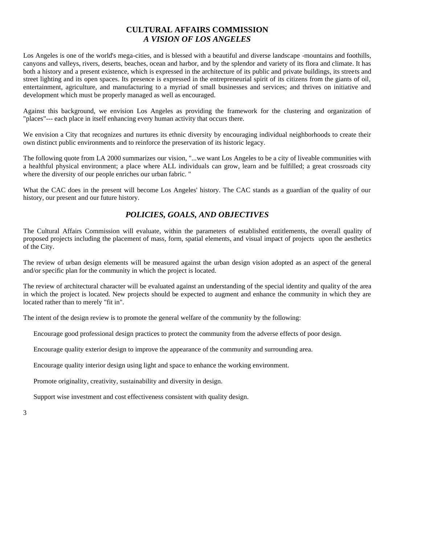#### **CULTURAL AFFAIRS COMMISSION** *A VISION OF LOS ANGELES*

Los Angeles is one of the world's mega-cities, and is blessed with a beautiful and diverse landscape -mountains and foothills, canyons and valleys, rivers, deserts, beaches, ocean and harbor, and by the splendor and variety of its flora and climate. It has both a history and a present existence, which is expressed in the architecture of its public and private buildings, its streets and street lighting and its open spaces. Its presence is expressed in the entrepreneurial spirit of its citizens from the giants of oil, entertainment, agriculture, and manufacturing to a myriad of small businesses and services; and thrives on initiative and development which must be properly managed as well as encouraged.

Against this background, we envision Los Angeles as providing the framework for the clustering and organization of "places"--- each place in itself enhancing every human activity that occurs there.

We envision a City that recognizes and nurtures its ethnic diversity by encouraging individual neighborhoods to create their own distinct public environments and to reinforce the preservation of its historic legacy.

The following quote from LA 2000 summarizes our vision, "...we want Los Angeles to be a city of liveable communities with a healthful physical environment; a place where ALL individuals can grow, learn and be fulfilled; a great crossroads city where the diversity of our people enriches our urban fabric. "

What the CAC does in the present will become Los Angeles' history. The CAC stands as a guardian of the quality of our history, our present and our future history.

#### *POLICIES, GOALS, AND OBJECTIVES*

The Cultural Affairs Commission will evaluate, within the parameters of established entitlements, the overall quality of proposed projects including the placement of mass, form, spatial elements, and visual impact of projects upon the aesthetics of the City.

The review of urban design elements will be measured against the urban design vision adopted as an aspect of the general and/or specific plan for the community in which the project is located.

The review of architectural character will be evaluated against an understanding of the special identity and quality of the area in which the project is located. New projects should be expected to augment and enhance the community in which they are located rather than to merely "fit in".

The intent of the design review is to promote the general welfare of the community by the following:

Encourage good professional design practices to protect the community from the adverse effects of poor design.

Encourage quality exterior design to improve the appearance of the community and surrounding area.

Encourage quality interior design using light and space to enhance the working environment.

Promote originality, creativity, sustainability and diversity in design.

Support wise investment and cost effectiveness consistent with quality design.

3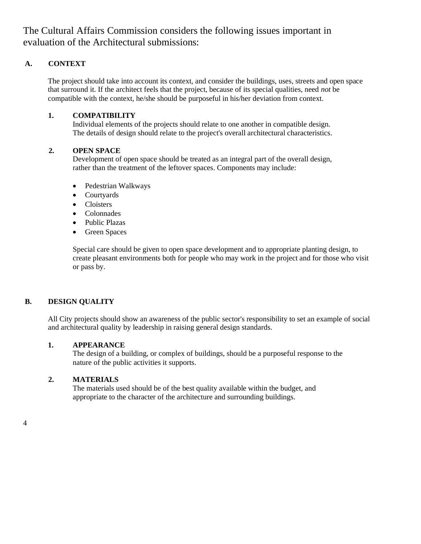The Cultural Affairs Commission considers the following issues important in evaluation of the Architectural submissions:

#### **A. CONTEXT**

The project should take into account its context, and consider the buildings, uses, streets and open space that surround it. If the architect feels that the project, because of its special qualities, need *not* be compatible with the context, he/she should be purposeful in his/her deviation from context.

#### **1. COMPATIBILITY**

Individual elements of the projects should relate to one another in compatible design. The details of design should relate to the project's overall architectural characteristics.

#### **2. OPEN SPACE**

Development of open space should be treated as an integral part of the overall design, rather than the treatment of the leftover spaces. Components may include:

- Pedestrian Walkways
- Courtyards
- Cloisters
- Colonnades
- Public Plazas
- Green Spaces

Special care should be given to open space development and to appropriate planting design, to create pleasant environments both for people who may work in the project and for those who visit or pass by.

#### **B. DESIGN QUALITY**

All City projects should show an awareness of the public sector's responsibility to set an example of social and architectural quality by leadership in raising general design standards.

#### **1. APPEARANCE**

The design of a building, or complex of buildings, should be a purposeful response to the nature of the public activities it supports.

#### **2. MATERIALS**

The materials used should be of the best quality available within the budget, and appropriate to the character of the architecture and surrounding buildings.

4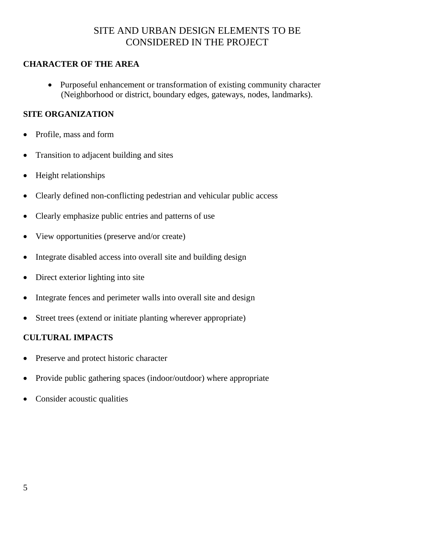# SITE AND URBAN DESIGN ELEMENTS TO BE CONSIDERED IN THE PROJECT

### **CHARACTER OF THE AREA**

• Purposeful enhancement or transformation of existing community character (Neighborhood or district, boundary edges, gateways, nodes, landmarks).

### **SITE ORGANIZATION**

- Profile, mass and form
- Transition to adjacent building and sites
- Height relationships
- Clearly defined non-conflicting pedestrian and vehicular public access
- Clearly emphasize public entries and patterns of use
- View opportunities (preserve and/or create)
- Integrate disabled access into overall site and building design
- Direct exterior lighting into site
- Integrate fences and perimeter walls into overall site and design
- Street trees (extend or initiate planting wherever appropriate)

### **CULTURAL IMPACTS**

- Preserve and protect historic character
- Provide public gathering spaces (indoor/outdoor) where appropriate
- Consider acoustic qualities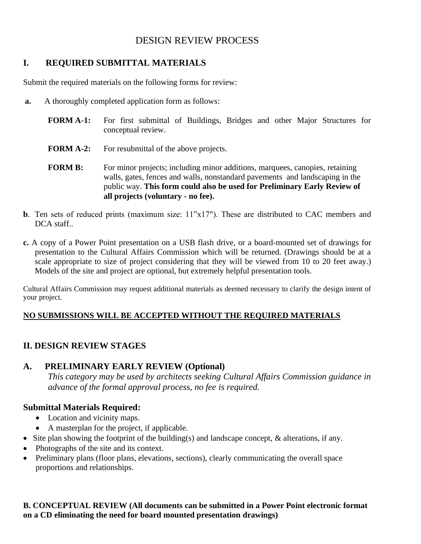# DESIGN REVIEW PROCESS

## **I. REQUIRED SUBMITTAL MATERIALS**

Submit the required materials on the following forms for review:

- **a.** A thoroughly completed application form as follows:
	- **FORM A-1:** For first submittal of Buildings, Bridges and other Major Structures for conceptual review.
	- **FORM A-2:** For resubmittal of the above projects.
	- **FORM B:** For minor projects; including minor additions, marquees, canopies, retaining walls, gates, fences and walls, nonstandard pavements and landscaping in the public way. **This form could also be used for Preliminary Early Review of all projects (voluntary - no fee).**
- **b**. Ten sets of reduced prints (maximum size:  $11"x17"$ ). These are distributed to CAC members and DCA staff.
- **c.** A copy of a Power Point presentation on a USB flash drive, or a board-mounted set of drawings for presentation to the Cultural Affairs Commission which will be returned. (Drawings should be at a scale appropriate to size of project considering that they will be viewed from 10 to 20 feet away.) Models of the site and project are optional, but extremely helpful presentation tools.

Cultural Affairs Commission may request additional materials as deemed necessary to clarify the design intent of your project.

### **NO SUBMISSIONS WILL BE ACCEPTED WITHOUT THE REQUIRED MATERIALS**

### **II. DESIGN REVIEW STAGES**

### **A. PRELIMINARY EARLY REVIEW (Optional)**

*This category may be used by architects seeking Cultural Affairs Commission guidance in advance of the formal approval process, no fee is required.*

### **Submittal Materials Required:**

- Location and vicinity maps.
- A masterplan for the project, if applicable.
- Site plan showing the footprint of the building(s) and landscape concept, & alterations, if any.
- Photographs of the site and its context.
- Preliminary plans (floor plans, elevations, sections), clearly communicating the overall space proportions and relationships.

#### **B. CONCEPTUAL REVIEW (All documents can be submitted in a Power Point electronic format on a CD eliminating the need for board mounted presentation drawings)**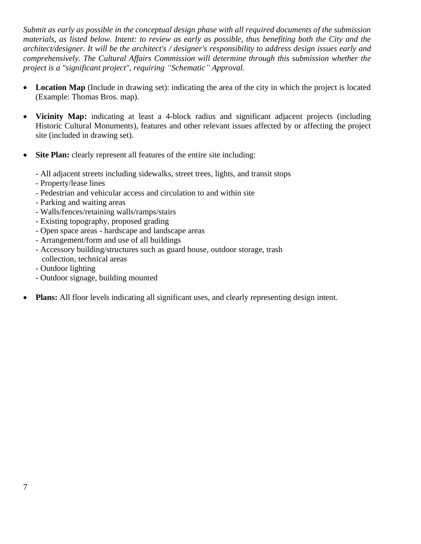*Submit as early as possible in the conceptual design phase with all required documents of the submission materials, as listed below. Intent: to review as early as possible, thus benefiting both the City and the architect/designer. It will be the architect's / designer's responsibility to address design issues early and comprehensively. The Cultural Affairs Commission will determine through this submission whether the project is a "significant project", requiring "Schematic" Approval.*

- **Location Map** (Include in drawing set): indicating the area of the city in which the project is located (Example: Thomas Bros. map).
- **Vicinity Map:** indicating at least a 4-block radius and significant adjacent projects (including Historic Cultural Monuments), features and other relevant issues affected by or affecting the project site (included in drawing set).
- **Site Plan:** clearly represent all features of the entire site including:
	- All adjacent streets including sidewalks, street trees, lights, and transit stops
	- Property/lease lines
	- Pedestrian and vehicular access and circulation to and within site
	- Parking and waiting areas
	- Walls/fences/retaining walls/ramps/stairs
	- Existing topography, proposed grading
	- Open space areas hardscape and landscape areas
	- Arrangement/form and use of all buildings
	- Accessory building/structures such as guard house, outdoor storage, trash collection, technical areas
	- Outdoor lighting
	- Outdoor signage, building mounted
- **Plans:** All floor levels indicating all significant uses, and clearly representing design intent.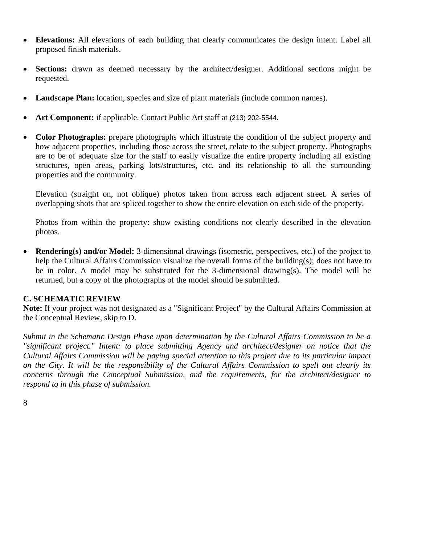- **Elevations:** All elevations of each building that clearly communicates the design intent. Label all proposed finish materials.
- **Sections:** drawn as deemed necessary by the architect/designer. Additional sections might be requested.
- **Landscape Plan:** location, species and size of plant materials (include common names).
- **Art Component:** if applicable. Contact Public Art staff at (213) 202-5544.
- **Color Photographs:** prepare photographs which illustrate the condition of the subject property and how adjacent properties, including those across the street, relate to the subject property. Photographs are to be of adequate size for the staff to easily visualize the entire property including all existing structures, open areas, parking lots/structures, etc. and its relationship to all the surrounding properties and the community.

Elevation (straight on, not oblique) photos taken from across each adjacent street. A series of overlapping shots that are spliced together to show the entire elevation on each side of the property.

Photos from within the property: show existing conditions not clearly described in the elevation photos.

• **Rendering(s) and/or Model:** 3-dimensional drawings (isometric, perspectives, etc.) of the project to help the Cultural Affairs Commission visualize the overall forms of the building(s); does not have to be in color. A model may be substituted for the 3-dimensional drawing(s). The model will be returned, but a copy of the photographs of the model should be submitted.

### **C. SCHEMATIC REVIEW**

**Note:** If your project was not designated as a "Significant Project" by the Cultural Affairs Commission at the Conceptual Review, skip to D.

*Submit in the Schematic Design Phase upon determination by the Cultural Affairs Commission to be a "significant project." Intent: to place submitting Agency and architect/designer on notice that the Cultural Affairs Commission will be paying special attention to this project due to its particular impact on the City. It will be the responsibility of the Cultural Affairs Commission to spell out clearly its concerns through the Conceptual Submission, and the requirements, for the architect/designer to respond to in this phase of submission.*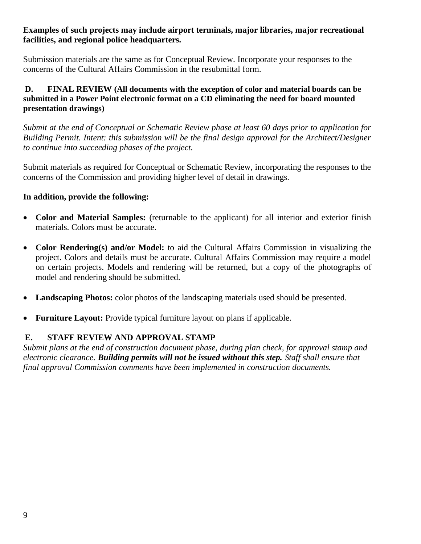### **Examples of such projects may include airport terminals, major libraries, major recreational facilities, and regional police headquarters.**

Submission materials are the same as for Conceptual Review. Incorporate your responses to the concerns of the Cultural Affairs Commission in the resubmittal form.

### **D. FINAL REVIEW (All documents with the exception of color and material boards can be submitted in a Power Point electronic format on a CD eliminating the need for board mounted presentation drawings)**

*Submit at the end of Conceptual or Schematic Review phase at least 60 days prior to application for Building Permit. Intent: this submission will be the final design approval for the Architect/Designer to continue into succeeding phases of the project.*

Submit materials as required for Conceptual or Schematic Review, incorporating the responses to the concerns of the Commission and providing higher level of detail in drawings.

### **In addition, provide the following:**

- **Color and Material Samples:** (returnable to the applicant) for all interior and exterior finish materials. Colors must be accurate.
- **Color Rendering(s) and/or Model:** to aid the Cultural Affairs Commission in visualizing the project. Colors and details must be accurate. Cultural Affairs Commission may require a model on certain projects. Models and rendering will be returned, but a copy of the photographs of model and rendering should be submitted.
- **Landscaping Photos:** color photos of the landscaping materials used should be presented.
- **Furniture Layout:** Provide typical furniture layout on plans if applicable.

### **E. STAFF REVIEW AND APPROVAL STAMP**

*Submit plans at the end of construction document phase, during plan check, for approval stamp and electronic clearance. Building permits will not be issued without this step. Staff shall ensure that final approval Commission comments have been implemented in construction documents.*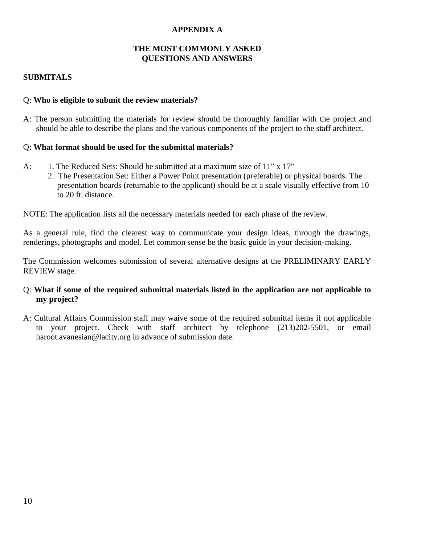### **APPENDIX A**

#### **THE MOST COMMONLY ASKED QUESTIONS AND ANSWERS**

### **SUBMITALS**

#### Q: **Who is eligible to submit the review materials?**

A: The person submitting the materials for review should be thoroughly familiar with the project and should be able to describe the plans and the various components of the project to the staff architect.

#### Q: **What format should be used for the submittal materials?**

- A: 1. The Reduced Sets: Should be submitted at a maximum size of 11" x 17"
	- 2. The Presentation Set: Either a Power Point presentation (preferable) or physical boards. The presentation boards (returnable to the applicant) should be at a scale visually effective from 10 to 20 ft. distance.

NOTE: The application lists all the necessary materials needed for each phase of the review.

As a general rule, find the clearest way to communicate your design ideas, through the drawings, renderings, photographs and model. Let common sense be the basic guide in your decision-making.

The Commission welcomes submission of several alternative designs at the PRELIMINARY EARLY REVIEW stage.

#### Q: **What if some of the required submittal materials listed in the application are not applicable to my project?**

A: Cultural Affairs Commission staff may waive some of the required submittal items if not applicable to your project. Check with staff architect by telephone (213)202-5501, or email [haroot.avanesian@lacity.org](mailto:haroot.avanesian@lacity.org) in advance of submission date.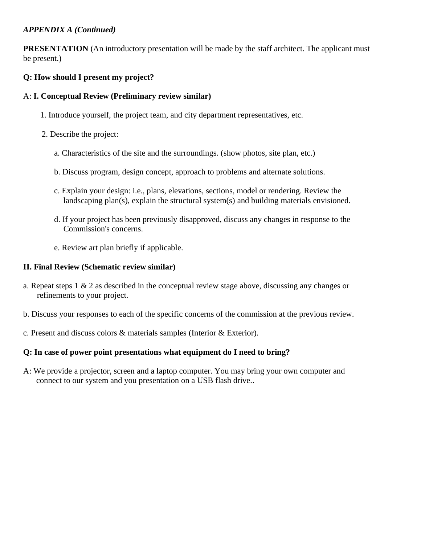### *APPENDIX A (Continued)*

**PRESENTATION** (An introductory presentation will be made by the staff architect. The applicant must be present.)

### **Q: How should I present my project?**

### A: **I. Conceptual Review (Preliminary review similar)**

- 1. Introduce yourself, the project team, and city department representatives, etc.
- 2. Describe the project:
	- a. Characteristics of the site and the surroundings. (show photos, site plan, etc.)
	- b. Discuss program, design concept, approach to problems and alternate solutions.
	- c. Explain your design: i.e., plans, elevations, sections, model or rendering. Review the landscaping plan(s), explain the structural system(s) and building materials envisioned.
	- d. If your project has been previously disapproved, discuss any changes in response to the Commission's concerns.
	- e. Review art plan briefly if applicable.

#### **II. Final Review (Schematic review similar)**

- a. Repeat steps 1 & 2 as described in the conceptual review stage above, discussing any changes or refinements to your project.
- b. Discuss your responses to each of the specific concerns of the commission at the previous review.
- c. Present and discuss colors & materials samples (Interior & Exterior).

#### **Q: In case of power point presentations what equipment do I need to bring?**

A: We provide a projector, screen and a laptop computer. You may bring your own computer and connect to our system and you presentation on a USB flash drive..